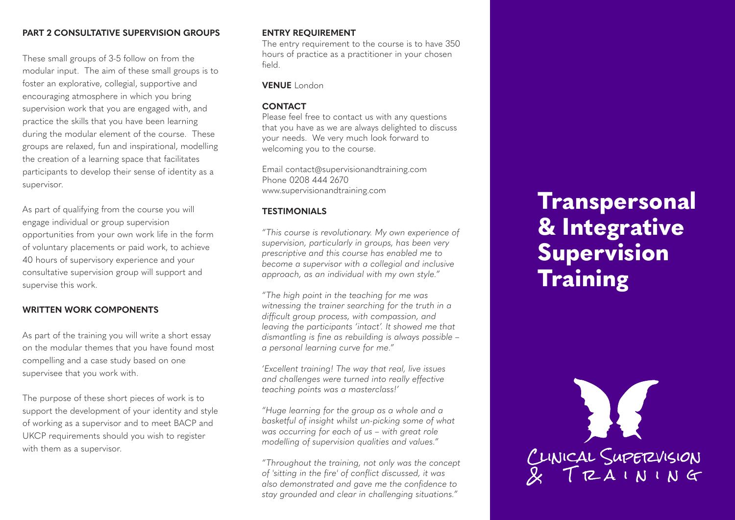## **PART 2 CONSULTATIVE SUPERVISION GROUPS**

These small groups of 3-5 follow on from the modular input. The aim of these small groups is to foster an explorative, collegial, supportive and encouraging atmosphere in which you bring supervision work that you are engaged with, and practice the skills that you have been learning during the modular element of the course. These groups are relaxed, fun and inspirational, modelling the creation of a learning space that facilitates participants to develop their sense of identity as a supervisor.

As part of qualifying from the course you will engage individual or group supervision opportunities from your own work life in the form of voluntary placements or paid work, to achieve 40 hours of supervisory experience and your consultative supervision group will support and supervise this work.

## **WRITTEN WORK COMPONENTS**

As part of the training you will write a short essay on the modular themes that you have found most compelling and a case study based on one supervisee that you work with.

The purpose of these short pieces of work is to support the development of your identity and style of working as a supervisor and to meet BACP and UKCP requirements should you wish to register with them as a supervisor.

### **ENTRY REQUIREMENT**

The entry requirement to the course is to have 350 hours of practice as a practitioner in your chosen field.

### **VENUE** London

#### **CONTACT**

Please feel free to contact us with any questions that you have as we are always delighted to discuss your needs. We very much look forward to welcoming you to the course.

Email contact@supervisionandtraining.com Phone 0208 444 2670 www.supervisionandtraining.com

#### **TESTIMONIALS**

*"This course is revolutionary. My own experience of supervision, particularly in groups, has been very prescriptive and this course has enabled me to become a supervisor with a collegial and inclusive approach, as an individual with my own style."*

*"The high point in the teaching for me was witnessing the trainer searching for the truth in a difficult group process, with compassion, and leaving the participants 'intact'. It showed me that dismantling is fine as rebuilding is always possible – a personal learning curve for me."*

*'Excellent training! The way that real, live issues and challenges were turned into really effective teaching points was a masterclass!'*

*"Huge learning for the group as a whole and a basketful of insight whilst un-picking some of what was occurring for each of us – with great role modelling of supervision qualities and values."*

*"Throughout the training, not only was the concept of 'sitting in the fire' of conflict discussed, it was also demonstrated and gave me the confidence to stay grounded and clear in challenging situations."*

# **Transpersonal & Integrative Supervision Training**